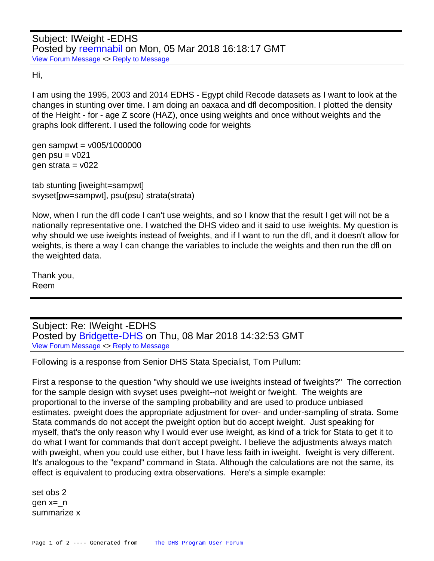Hi,

I am using the 1995, 2003 and 2014 EDHS - Egypt child Recode datasets as I want to look at the changes in stunting over time. I am doing an oaxaca and dfl decomposition. I plotted the density of the Height - for - age Z score (HAZ), once using weights and once without weights and the graphs look different. I used the following code for weights

gen sampwt =  $v005/1000000$ gen  $psu = v021$ gen strata =  $v022$ 

tab stunting [iweight=sampwt] svyset[pw=sampwt], psu(psu) strata(strata)

Now, when I run the dfl code I can't use weights, and so I know that the result I get will not be a nationally representative one. I watched the DHS video and it said to use iweights. My question is why should we use iweights instead of fweights, and if I want to run the dfl, and it doesn't allow for weights, is there a way I can change the variables to include the weights and then run the dfl on the weighted data.

Thank you, Reem

Subject: Re: IWeight -EDHS Posted by [Bridgette-DHS](https://userforum.dhsprogram.com/index.php?t=usrinfo&id=11) on Thu, 08 Mar 2018 14:32:53 GMT [View Forum Message](https://userforum.dhsprogram.com/index.php?t=rview&th=6836&goto=14238#msg_14238) <> [Reply to Message](https://userforum.dhsprogram.com/index.php?t=post&reply_to=14238)

Following is a response from Senior DHS Stata Specialist, Tom Pullum:

First a response to the question "why should we use iweights instead of fweights?" The correction for the sample design with svyset uses pweight--not iweight or fweight. The weights are proportional to the inverse of the sampling probability and are used to produce unbiased estimates. pweight does the appropriate adjustment for over- and under-sampling of strata. Some Stata commands do not accept the pweight option but do accept iweight. Just speaking for myself, that's the only reason why I would ever use iweight, as kind of a trick for Stata to get it to do what I want for commands that don't accept pweight. I believe the adjustments always match with pweight, when you could use either, but I have less faith in iweight. fweight is very different. It's analogous to the "expand" command in Stata. Although the calculations are not the same, its effect is equivalent to producing extra observations. Here's a simple example:

set obs 2 gen x=\_n summarize x